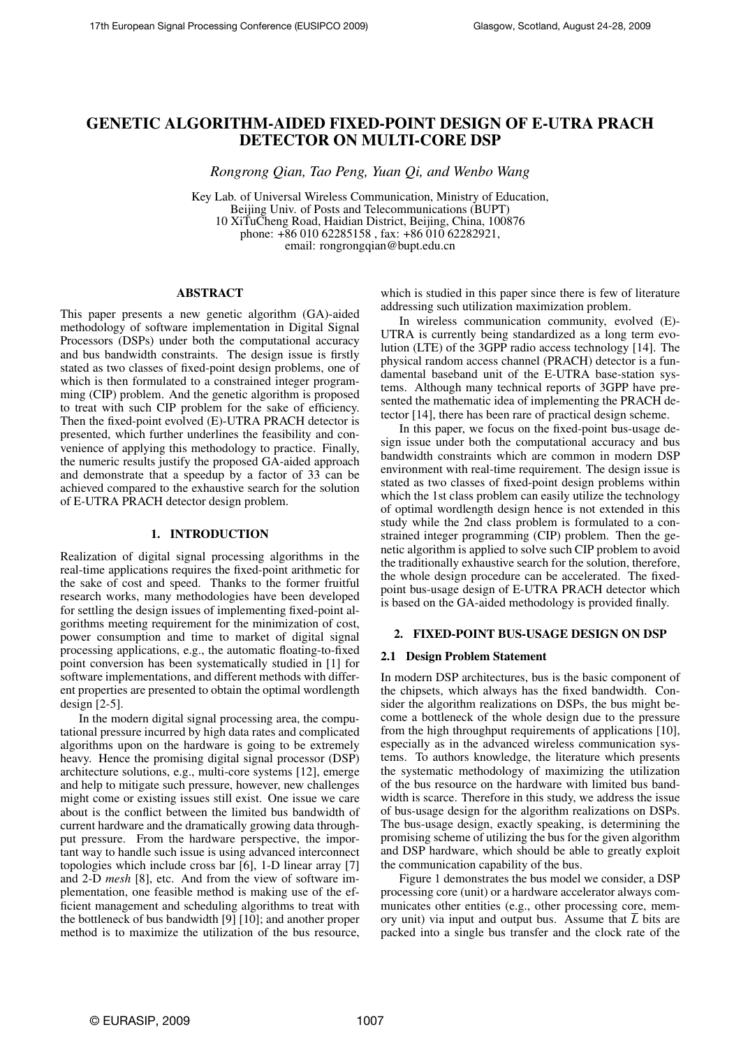# GENETIC ALGORITHM-AIDED FIXED-POINT DESIGN OF E-UTRA PRACH DETECTOR ON MULTI-CORE DSP

*Rongrong Qian, Tao Peng, Yuan Qi, and Wenbo Wang*

Key Lab. of Universal Wireless Communication, Ministry of Education, Beijing Univ. of Posts and Telecommunications (BUPT) 10 XiTuCheng Road, Haidian District, Beijing, China, 100876 phone: +86 010 62285158 , fax: +86 010 62282921, email: rongrongqian@bupt.edu.cn

# ABSTRACT

This paper presents a new genetic algorithm (GA)-aided methodology of software implementation in Digital Signal Processors (DSPs) under both the computational accuracy and bus bandwidth constraints. The design issue is firstly stated as two classes of fixed-point design problems, one of which is then formulated to a constrained integer programming (CIP) problem. And the genetic algorithm is proposed to treat with such CIP problem for the sake of efficiency. Then the fixed-point evolved (E)-UTRA PRACH detector is presented, which further underlines the feasibility and convenience of applying this methodology to practice. Finally, the numeric results justify the proposed GA-aided approach and demonstrate that a speedup by a factor of 33 can be achieved compared to the exhaustive search for the solution of E-UTRA PRACH detector design problem.

## 1. INTRODUCTION

Realization of digital signal processing algorithms in the real-time applications requires the fixed-point arithmetic for the sake of cost and speed. Thanks to the former fruitful research works, many methodologies have been developed for settling the design issues of implementing fixed-point algorithms meeting requirement for the minimization of cost, power consumption and time to market of digital signal processing applications, e.g., the automatic floating-to-fixed point conversion has been systematically studied in [1] for software implementations, and different methods with different properties are presented to obtain the optimal wordlength design  $[2-5]$ .

In the modern digital signal processing area, the computational pressure incurred by high data rates and complicated algorithms upon on the hardware is going to be extremely heavy. Hence the promising digital signal processor (DSP) architecture solutions, e.g., multi-core systems [12], emerge and help to mitigate such pressure, however, new challenges might come or existing issues still exist. One issue we care about is the conflict between the limited bus bandwidth of current hardware and the dramatically growing data throughput pressure. From the hardware perspective, the important way to handle such issue is using advanced interconnect topologies which include cross bar [6], 1-D linear array [7] and 2-D *mesh* [8], etc. And from the view of software implementation, one feasible method is making use of the efficient management and scheduling algorithms to treat with the bottleneck of bus bandwidth [9] [10]; and another proper method is to maximize the utilization of the bus resource,

which is studied in this paper since there is few of literature addressing such utilization maximization problem.

In wireless communication community, evolved (E)- UTRA is currently being standardized as a long term evolution (LTE) of the 3GPP radio access technology [14]. The physical random access channel (PRACH) detector is a fundamental baseband unit of the E-UTRA base-station systems. Although many technical reports of 3GPP have presented the mathematic idea of implementing the PRACH detector [14], there has been rare of practical design scheme.

In this paper, we focus on the fixed-point bus-usage design issue under both the computational accuracy and bus bandwidth constraints which are common in modern DSP environment with real-time requirement. The design issue is stated as two classes of fixed-point design problems within which the 1st class problem can easily utilize the technology of optimal wordlength design hence is not extended in this study while the 2nd class problem is formulated to a constrained integer programming (CIP) problem. Then the genetic algorithm is applied to solve such CIP problem to avoid the traditionally exhaustive search for the solution, therefore, the whole design procedure can be accelerated. The fixedpoint bus-usage design of E-UTRA PRACH detector which is based on the GA-aided methodology is provided finally.

# 2. FIXED-POINT BUS-USAGE DESIGN ON DSP

## 2.1 Design Problem Statement

In modern DSP architectures, bus is the basic component of the chipsets, which always has the fixed bandwidth. Consider the algorithm realizations on DSPs, the bus might become a bottleneck of the whole design due to the pressure from the high throughput requirements of applications [10], especially as in the advanced wireless communication systems. To authors knowledge, the literature which presents the systematic methodology of maximizing the utilization of the bus resource on the hardware with limited bus bandwidth is scarce. Therefore in this study, we address the issue of bus-usage design for the algorithm realizations on DSPs. The bus-usage design, exactly speaking, is determining the promising scheme of utilizing the bus for the given algorithm and DSP hardware, which should be able to greatly exploit the communication capability of the bus.

Figure 1 demonstrates the bus model we consider, a DSP processing core (unit) or a hardware accelerator always communicates other entities (e.g., other processing core, memory unit) via input and output bus. Assume that  $\overline{L}$  bits are packed into a single bus transfer and the clock rate of the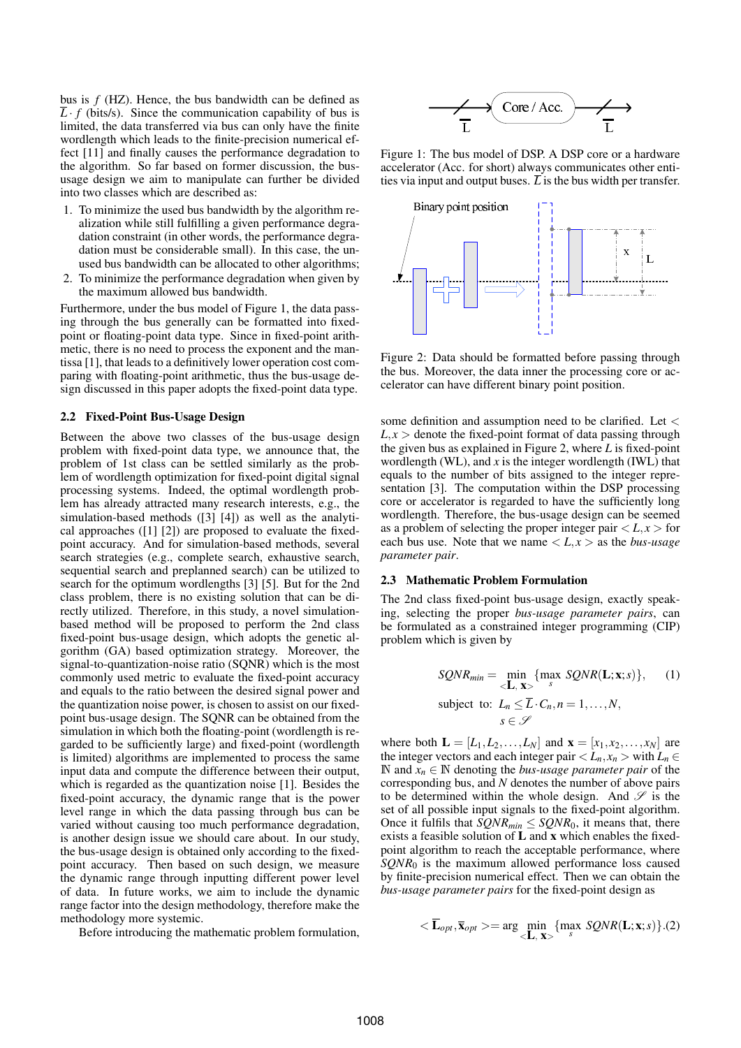bus is *f* (HZ). Hence, the bus bandwidth can be defined as  $\overline{L} \cdot f$  (bits/s). Since the communication capability of bus is limited, the data transferred via bus can only have the finite wordlength which leads to the finite-precision numerical effect [11] and finally causes the performance degradation to the algorithm. So far based on former discussion, the bususage design we aim to manipulate can further be divided into two classes which are described as:

- 1. To minimize the used bus bandwidth by the algorithm realization while still fulfilling a given performance degradation constraint (in other words, the performance degradation must be considerable small). In this case, the unused bus bandwidth can be allocated to other algorithms;
- 2. To minimize the performance degradation when given by the maximum allowed bus bandwidth.

Furthermore, under the bus model of Figure 1, the data passing through the bus generally can be formatted into fixedpoint or floating-point data type. Since in fixed-point arithmetic, there is no need to process the exponent and the mantissa [1], that leads to a definitively lower operation cost comparing with floating-point arithmetic, thus the bus-usage design discussed in this paper adopts the fixed-point data type.

### 2.2 Fixed-Point Bus-Usage Design

Between the above two classes of the bus-usage design problem with fixed-point data type, we announce that, the problem of 1st class can be settled similarly as the problem of wordlength optimization for fixed-point digital signal processing systems. Indeed, the optimal wordlength problem has already attracted many research interests, e.g., the simulation-based methods ([3] [4]) as well as the analytical approaches ([1] [2]) are proposed to evaluate the fixedpoint accuracy. And for simulation-based methods, several search strategies (e.g., complete search, exhaustive search, sequential search and preplanned search) can be utilized to search for the optimum wordlengths [3] [5]. But for the 2nd class problem, there is no existing solution that can be directly utilized. Therefore, in this study, a novel simulationbased method will be proposed to perform the 2nd class fixed-point bus-usage design, which adopts the genetic algorithm (GA) based optimization strategy. Moreover, the signal-to-quantization-noise ratio (SQNR) which is the most commonly used metric to evaluate the fixed-point accuracy and equals to the ratio between the desired signal power and the quantization noise power, is chosen to assist on our fixedpoint bus-usage design. The SQNR can be obtained from the simulation in which both the floating-point (wordlength is regarded to be sufficiently large) and fixed-point (wordlength is limited) algorithms are implemented to process the same input data and compute the difference between their output, which is regarded as the quantization noise [1]. Besides the fixed-point accuracy, the dynamic range that is the power level range in which the data passing through bus can be varied without causing too much performance degradation, is another design issue we should care about. In our study, the bus-usage design is obtained only according to the fixedpoint accuracy. Then based on such design, we measure the dynamic range through inputting different power level of data. In future works, we aim to include the dynamic range factor into the design methodology, therefore make the methodology more systemic.

Before introducing the mathematic problem formulation,



Figure 1: The bus model of DSP. A DSP core or a hardware accelerator (Acc. for short) always communicates other entities via input and output buses.  $\overline{L}$  is the bus width per transfer.



Figure 2: Data should be formatted before passing through the bus. Moreover, the data inner the processing core or accelerator can have different binary point position.

some definition and assumption need to be clarified. Let <  $L, x >$  denote the fixed-point format of data passing through the given bus as explained in Figure 2, where *L* is fixed-point wordlength (WL), and  $x$  is the integer wordlength (IWL) that equals to the number of bits assigned to the integer representation [3]. The computation within the DSP processing core or accelerator is regarded to have the sufficiently long wordlength. Therefore, the bus-usage design can be seemed as a problem of selecting the proper integer pair  $\langle L, x \rangle$  for each bus use. Note that we name  $\langle L, x \rangle$  as the *bus-usage parameter pair*.

### 2.3 Mathematic Problem Formulation

The 2nd class fixed-point bus-usage design, exactly speaking, selecting the proper *bus-usage parameter pairs*, can be formulated as a constrained integer programming (CIP) problem which is given by

$$
SQNR_{min} = \min_{\langle \mathbf{L}, \mathbf{x} \rangle} \{ \max_{s} SQNR(\mathbf{L}; \mathbf{x}; s) \}, \quad (1)
$$
  
subject to:  $L_n \leq \overline{L} \cdot C_n, n = 1, ..., N,$   
 $s \in \mathcal{S}$ 

where both  $\mathbf{L} = [L_1, L_2, \ldots, L_N]$  and  $\mathbf{x} = [x_1, x_2, \ldots, x_N]$  are the integer vectors and each integer pair  $\langle L_n, x_n \rangle$  with  $L_n \in$ N and  $x_n$  ∈ N denoting the *bus-usage parameter pair* of the corresponding bus, and *N* denotes the number of above pairs to be determined within the whole design. And  $\mathscr S$  is the set of all possible input signals to the fixed-point algorithm. Once it fulfils that  $SQNR_{min} \leq SQNR_0$ , it means that, there exists a feasible solution of  $L$  and  $x$  which enables the fixedpoint algorithm to reach the acceptable performance, where *SQNR*<sup>0</sup> is the maximum allowed performance loss caused by finite-precision numerical effect. Then we can obtain the *bus-usage parameter pairs* for the fixed-point design as

$$
\langle \overline{\mathbf{L}}_{opt}, \overline{\mathbf{x}}_{opt} \rangle = \arg \min_{\langle \mathbf{L}, \mathbf{x} \rangle} \{ \max_{s} \text{SQNR}(\mathbf{L}; \mathbf{x}; s) \} . (2)
$$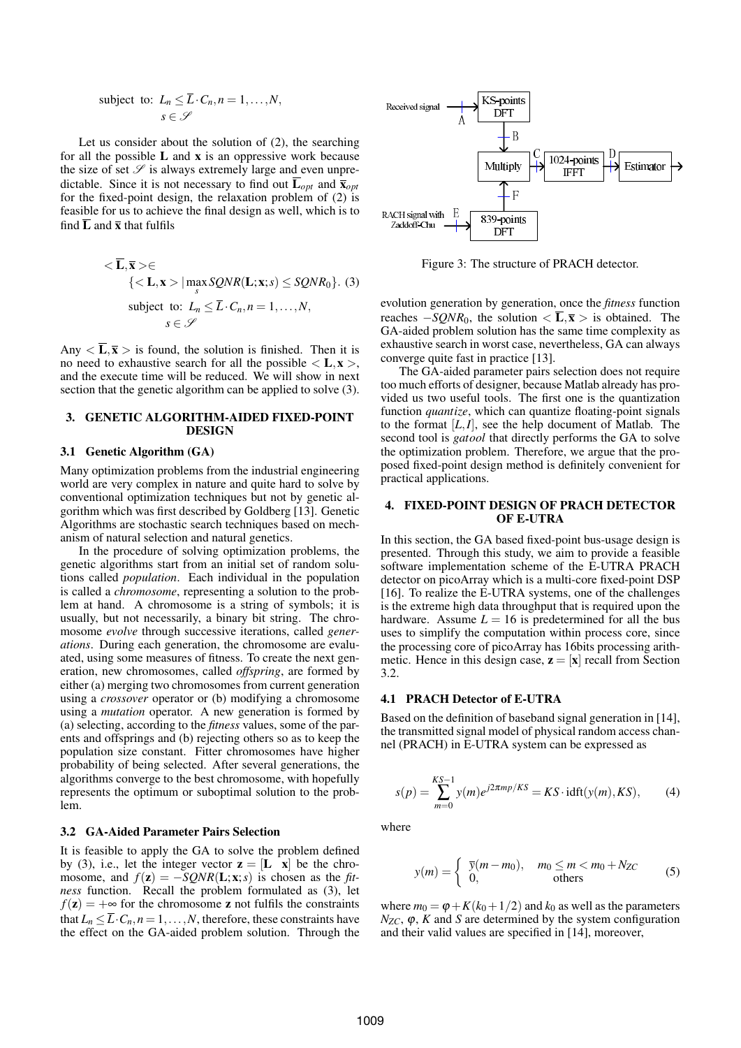subject to: 
$$
L_n \leq \overline{L} \cdot C_n, n = 1, ..., N,
$$
  
 $s \in \mathcal{S}$ 

Let us consider about the solution of (2), the searching for all the possible  $L$  and  $x$  is an oppressive work because the size of set  $\mathscr S$  is always extremely large and even unpredictable. Since it is not necessary to find out  $\overline{\mathbf{L}}_{opt}$  and  $\overline{\mathbf{x}}_{opt}$ for the fixed-point design, the relaxation problem of (2) is feasible for us to achieve the final design as well, which is to find  $\overline{L}$  and  $\overline{x}$  that fulfils

$$
<\overline{\mathbf{L}}, \overline{\mathbf{x}}>∈
$$
  
{ $\langle \mathbf{L}, \mathbf{x} \rangle | \max_{s} SQNR(\mathbf{L}; \mathbf{x}; s) \leq SQNR_0$ }. (3)  
subject to:  $L_n \leq \overline{L} \cdot C_n, n = 1, ..., N$ ,  
 $s ∈ \mathscr{S}$ 

Any  $\langle \overline{L}, \overline{x} \rangle$  is found, the solution is finished. Then it is no need to exhaustive search for all the possible  $\langle L, x \rangle$ , and the execute time will be reduced. We will show in next section that the genetic algorithm can be applied to solve (3).

## 3. GENETIC ALGORITHM-AIDED FIXED-POINT DESIGN

# 3.1 Genetic Algorithm (GA)

Many optimization problems from the industrial engineering world are very complex in nature and quite hard to solve by conventional optimization techniques but not by genetic algorithm which was first described by Goldberg [13]. Genetic Algorithms are stochastic search techniques based on mechanism of natural selection and natural genetics.

In the procedure of solving optimization problems, the genetic algorithms start from an initial set of random solutions called *population*. Each individual in the population is called a *chromosome*, representing a solution to the problem at hand. A chromosome is a string of symbols; it is usually, but not necessarily, a binary bit string. The chromosome *evolve* through successive iterations, called *generations*. During each generation, the chromosome are evaluated, using some measures of fitness. To create the next generation, new chromosomes, called *offspring*, are formed by either (a) merging two chromosomes from current generation using a *crossover* operator or (b) modifying a chromosome using a *mutation* operator. A new generation is formed by (a) selecting, according to the *fitness* values, some of the parents and offsprings and (b) rejecting others so as to keep the population size constant. Fitter chromosomes have higher probability of being selected. After several generations, the algorithms converge to the best chromosome, with hopefully represents the optimum or suboptimal solution to the problem.

### 3.2 GA-Aided Parameter Pairs Selection

It is feasible to apply the GA to solve the problem defined by (3), i.e., let the integer vector  $z = [L \ x]$  be the chromosome, and  $f(z) = -SQNR(L; x; s)$  is chosen as the *fitness* function. Recall the problem formulated as (3), let  $f(z) = +\infty$  for the chromosome z not fulfils the constraints that  $L_n \leq \overline{L} \cdot C_n$ ,  $n = 1, \ldots, N$ , therefore, these constraints have the effect on the GA-aided problem solution. Through the



Figure 3: The structure of PRACH detector.

evolution generation by generation, once the *fitness* function reaches  $-SQNR_0$ , the solution  $\langle \overline{L}, \overline{x} \rangle$  is obtained. The GA-aided problem solution has the same time complexity as exhaustive search in worst case, nevertheless, GA can always converge quite fast in practice [13].

The GA-aided parameter pairs selection does not require too much efforts of designer, because Matlab already has provided us two useful tools. The first one is the quantization function *quantize*, which can quantize floating-point signals to the format [*L*,*I*], see the help document of Matlab. The second tool is *gatool* that directly performs the GA to solve the optimization problem. Therefore, we argue that the proposed fixed-point design method is definitely convenient for practical applications.

### 4. FIXED-POINT DESIGN OF PRACH DETECTOR OF E-UTRA

In this section, the GA based fixed-point bus-usage design is presented. Through this study, we aim to provide a feasible software implementation scheme of the E-UTRA PRACH detector on picoArray which is a multi-core fixed-point DSP [16]. To realize the E-UTRA systems, one of the challenges is the extreme high data throughput that is required upon the hardware. Assume  $L = 16$  is predetermined for all the bus uses to simplify the computation within process core, since the processing core of picoArray has 16bits processing arithmetic. Hence in this design case,  $z = [x]$  recall from Section 3.2.

### 4.1 PRACH Detector of E-UTRA

Based on the definition of baseband signal generation in [14], the transmitted signal model of physical random access channel (PRACH) in E-UTRA system can be expressed as

$$
s(p) = \sum_{m=0}^{KS-1} y(m)e^{j2\pi mp/KS} = KS \cdot \text{idft}(y(m), KS), \quad (4)
$$

where

$$
y(m) = \begin{cases} \overline{y}(m - m_0), & m_0 \le m < m_0 + N_{ZC} \\ 0, & \text{others} \end{cases}
$$
 (5)

where  $m_0 = \varphi + K(k_0 + 1/2)$  and  $k_0$  as well as the parameters  $N_{ZC}$ ,  $\varphi$ , *K* and *S* are determined by the system configuration and their valid values are specified in [14], moreover,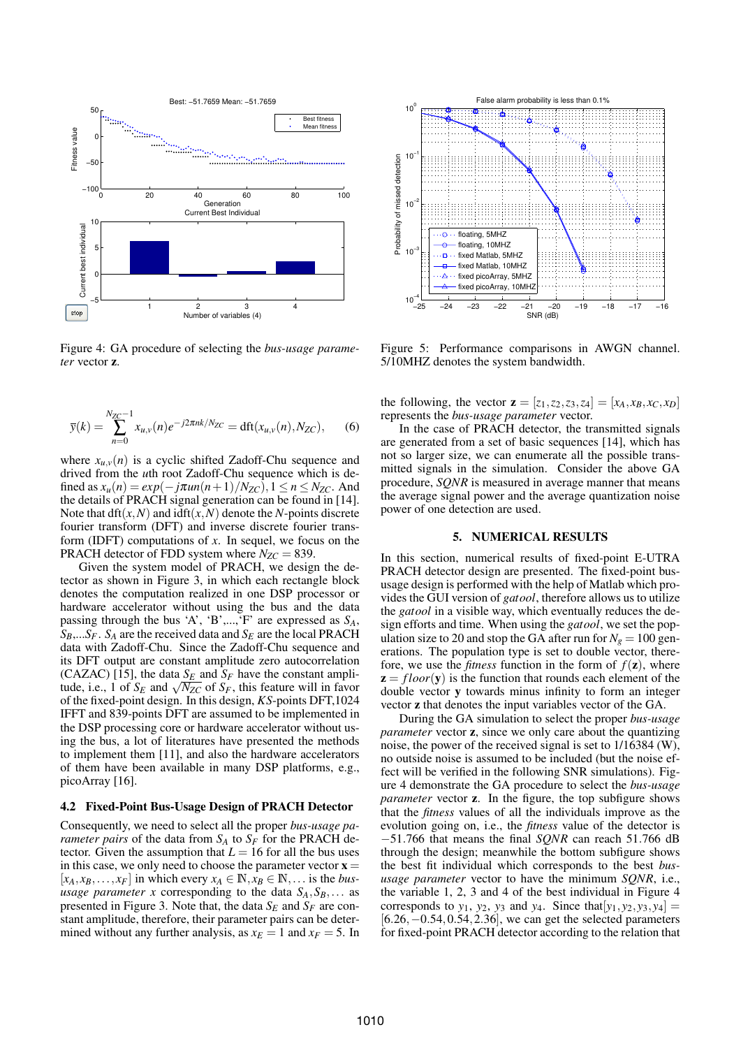

Figure 4: GA procedure of selecting the *bus-usage parameter* vector z.

$$
\bar{y}(k) = \sum_{n=0}^{N_{ZC}-1} x_{u,v}(n)e^{-j2\pi nk/N_{ZC}} = dft(x_{u,v}(n), N_{ZC}),
$$
 (6)

where  $x_{u,v}(n)$  is a cyclic shifted Zadoff-Chu sequence and drived from the *u*th root Zadoff-Chu sequence which is defined as  $x_u(n) = exp(-j\pi u n(n+1)/N_{ZC})$ ,  $1 \le n \le N_{ZC}$ . And the details of PRACH signal generation can be found in [14]. Note that  $dft(x, N)$  and  $idft(x, N)$  denote the *N*-points discrete fourier transform (DFT) and inverse discrete fourier transform (IDFT) computations of *x*. In sequel, we focus on the PRACH detector of FDD system where  $N_{ZC} = 839$ .

Given the system model of PRACH, we design the detector as shown in Figure 3, in which each rectangle block denotes the computation realized in one DSP processor or hardware accelerator without using the bus and the data passing through the bus 'A', 'B',...,'F' are expressed as  $S_A$ ,  $S_B$ ,...*S<sub>F</sub>*. *S<sub>A</sub>* are the received data and *S<sub>E</sub>* are the local PRACH data with Zadoff-Chu. Since the Zadoff-Chu sequence and its DFT output are constant amplitude zero autocorrelation (CAZAC) [15], the data  $S_E$  and  $S_F$  have the constant amplitude, i.e., 1 of  $S_F$  and  $\sqrt{N_{ZC}}$  of  $S_F$ , this feature will in favor of the fixed-point design. In this design, *KS*-points DFT,1024 IFFT and 839-points DFT are assumed to be implemented in the DSP processing core or hardware accelerator without using the bus, a lot of literatures have presented the methods to implement them [11], and also the hardware accelerators of them have been available in many DSP platforms, e.g., picoArray [16].

#### 4.2 Fixed-Point Bus-Usage Design of PRACH Detector

Consequently, we need to select all the proper *bus-usage parameter pairs* of the data from  $S_A$  to  $S_F$  for the PRACH detector. Given the assumption that  $L = 16$  for all the bus uses in this case, we only need to choose the parameter vector  $\mathbf{x} =$  $[x_A, x_B, \ldots, x_F]$  in which every  $x_A \in \mathbb{N}, x_B \in \mathbb{N}, \ldots$  is the *bususage parameter x* corresponding to the data  $S_A$ ,  $S_B$ ,... as presented in Figure 3. Note that, the data  $S_F$  and  $S_F$  are constant amplitude, therefore, their parameter pairs can be determined without any further analysis, as  $x_E = 1$  and  $x_F = 5$ . In



Figure 5: Performance comparisons in AWGN channel. 5/10MHZ denotes the system bandwidth.

the following, the vector  $z = [z_1, z_2, z_3, z_4] = [x_A, x_B, x_C, x_D]$ represents the *bus-usage parameter* vector.

In the case of PRACH detector, the transmitted signals are generated from a set of basic sequences [14], which has not so larger size, we can enumerate all the possible transmitted signals in the simulation. Consider the above GA procedure, *SQNR* is measured in average manner that means the average signal power and the average quantization noise power of one detection are used.

### 5. NUMERICAL RESULTS

In this section, numerical results of fixed-point E-UTRA PRACH detector design are presented. The fixed-point bususage design is performed with the help of Matlab which provides the GUI version of *gatool*, therefore allows us to utilize the *gatool* in a visible way, which eventually reduces the design efforts and time. When using the *gatool*, we set the population size to 20 and stop the GA after run for  $N_g = 100$  generations. The population type is set to double vector, therefore, we use the *fitness* function in the form of  $f(\mathbf{z})$ , where  $z = floor(y)$  is the function that rounds each element of the double vector y towards minus infinity to form an integer vector z that denotes the input variables vector of the GA.

During the GA simulation to select the proper *bus-usage parameter* vector **z**, since we only care about the quantizing noise, the power of the received signal is set to 1/16384 (W), no outside noise is assumed to be included (but the noise effect will be verified in the following SNR simulations). Figure 4 demonstrate the GA procedure to select the *bus-usage parameter* vector **z**. In the figure, the top subfigure shows that the *fitness* values of all the individuals improve as the evolution going on, i.e., the *fitness* value of the detector is −51.766 that means the final *SQNR* can reach 51.766 dB through the design; meanwhile the bottom subfigure shows the best fit individual which corresponds to the best *bususage parameter* vector to have the minimum *SQNR*, i.e., the variable 1, 2, 3 and 4 of the best individual in Figure 4 corresponds to  $y_1$ ,  $y_2$ ,  $y_3$  and  $y_4$ . Since that  $[y_1, y_2, y_3, y_4]$  = [6.26,−0.54,0.54,2.36], we can get the selected parameters for fixed-point PRACH detector according to the relation that